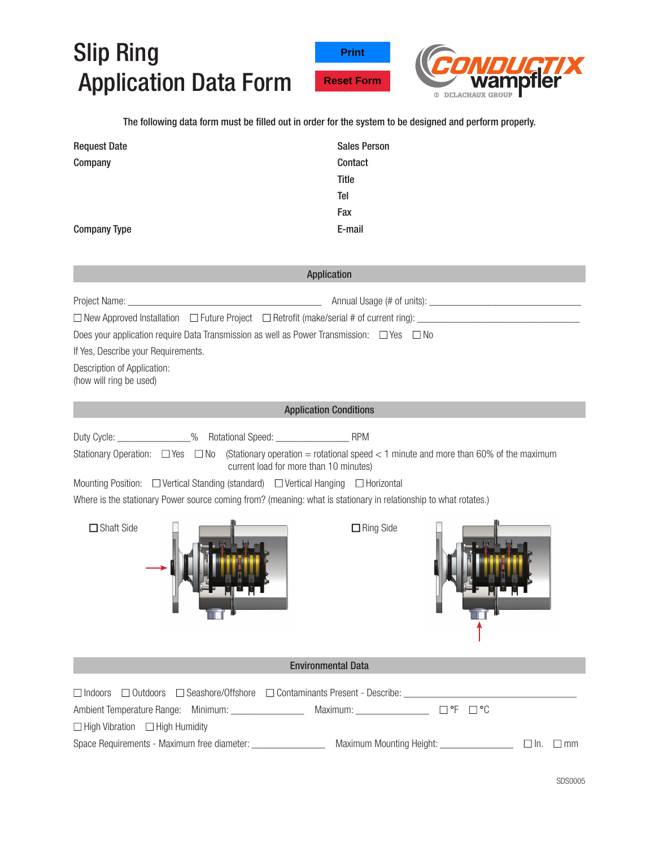## Slip Ring Application Data Form





The following data form must be filled out in order for the system to be designed and perform properly.

| <b>Request Date</b> | <b>Sales Person</b> |
|---------------------|---------------------|
| Company             | Contact             |
|                     | Title               |
|                     | Tel                 |
|                     | Fax                 |
| <b>Company Type</b> | E-mail              |

| <b>Application</b>                                                                                                                                                                                                                                                                                                                                                                                                     |
|------------------------------------------------------------------------------------------------------------------------------------------------------------------------------------------------------------------------------------------------------------------------------------------------------------------------------------------------------------------------------------------------------------------------|
| $\Box$ New Approved Installation $\Box$ Future Project $\Box$ Retrofit (make/serial # of current ring):<br>Does your application require Data Transmission as well as Power Transmission: $\Box$ Yes $\Box$ No<br>If Yes, Describe your Requirements.<br>Description of Application:<br>(how will ring be used)                                                                                                        |
| <b>Application Conditions</b>                                                                                                                                                                                                                                                                                                                                                                                          |
| Stationary Operation: $\Box$ Yes $\Box$ No (Stationary operation = rotational speed < 1 minute and more than 60% of the maximum<br>current load for more than 10 minutes)<br>Mounting Position: □ Vertical Standing (standard) □ Vertical Hanging □ Horizontal<br>Where is the stationary Power source coming from? (meaning: what is stationary in relationship to what rotates.)<br>□ Shaft Side<br>$\Box$ Ring Side |
| <b>Environmental Data</b>                                                                                                                                                                                                                                                                                                                                                                                              |
| $\Box$ Indoors<br>Ambient Temperature Range: Minimum: _________________ Maximum: _______________ □ °F □ °C<br>$\Box$ High Vibration $\Box$ High Humidity<br>Space Requirements - Maximum free diameter: ________________ Maximum Mounting Height: ______________ [ In. [ Imm                                                                                                                                           |